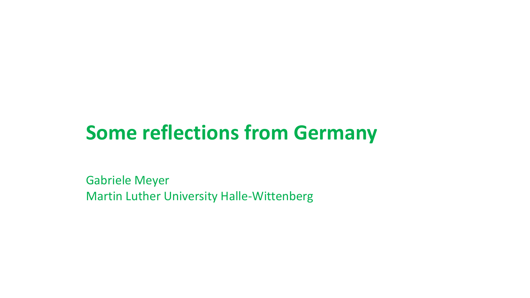## **Some reflections from Germany**

Gabriele Meyer Martin Luther University Halle-Wittenberg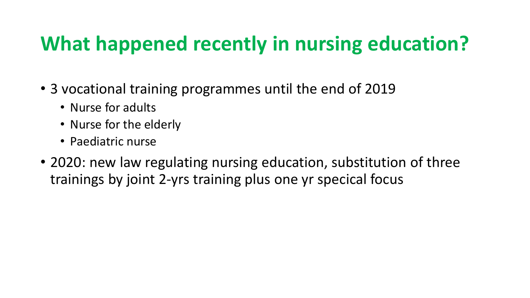# **What happened recently in nursing education?**

- 3 vocational training programmes until the end of 2019
	- Nurse for adults
	- Nurse for the elderly
	- Paediatric nurse
- 2020: new law regulating nursing education, substitution of three trainings by joint 2-yrs training plus one yr specical focus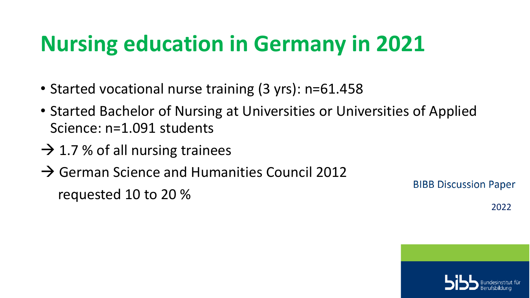# **Nursing education in Germany in 2021**

- Started vocational nurse training (3 yrs): n=61.458
- Started Bachelor of Nursing at Universities or Universities of Applied Science: n=1.091 students
- $\rightarrow$  1.7 % of all nursing trainees
- $\rightarrow$  German Science and Humanities Council 2012

requested 10 to 20 %

**BIBB Discussion Paper** 

2022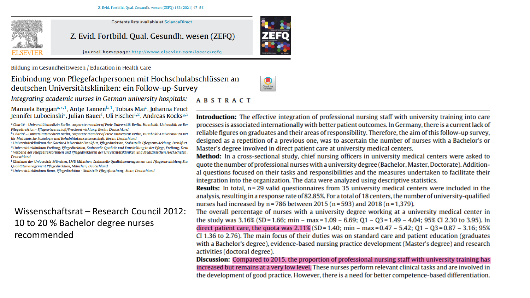

**Contents lists available at ScienceDirect** 

Z. Evid. Fortbild. Qual. Gesundh. wesen (ZEFQ)



journal homepage: http://www.elsevier.com/locate/zefq

Bildung im Gesundheitswesen / Education in Health Care

### Einbindung von Pflegefachpersonen mit Hochschulabschlüssen an deutschen Universitätskliniken: ein Follow-up-Survey

Integrating academic nurses in German university hospitals:

Manuela Bergjan<sup>a,\*,1</sup>, Antje Tannen<sup>b,1</sup>, Tobias Mai<sup>c</sup>, Johanna Feuch Jennifer Luboeinski<sup>e</sup>, Julian Bauer<sup>f</sup>, Uli Fischer<sup>f, 2</sup>, Andreas Kocks<sup>g, 2</sup>

a Charité – Universitätsmedizin Berlin, corporate member of Freie Universität Berlin, Humboldt-Universität zu Ber Pflegedirektion - Pflegewissenschaft/Praxisentwicklung, Berlin, Deutschland

<sup>c</sup> Universitätsklinikum der Goethe-Universität Frankfurt, Pflegedirektion, Stabsstelle Pflegeentwicklung, Frankfurt <sup>d</sup> Universitätsklinikum Freiburg, Pflegedirektion, Stabsstelle Qualität und Entwicklung in der Pflege, Freiburg, Deut e Verband der Pflegedirektorinnen und Pflegedirektoren der Universitätskliniken und Medizinischen Hochschulen **Deutschland** 

<sup>f</sup> Klinikum der Universität München, LMU München, Stabsstelle Qualitätsmanagement und Pflegeentwicklung Sta. Qualitätsmanagement Pflegedirektion, München, Deutschland

<sup>8</sup> Universitätsklinikum Bonn, Pflegedirektion - Stabstelle Pflegeforschung, Bonn, Deutschland

### Wissenschaftsrat – Research Council 2012: 10 to 20 % Bachelor degree nurses recommended

#### **ABSTRACT**

**Introduction:** The effective integration of professional nursing staff with university training into care processes is associated internationally with better patient outcomes. In Germany, there is a current lack of reliable figures on graduates and their areas of responsibility. Therefore, the aim of this follow-up survey, designed as a repetition of a previous one, was to ascertain the number of nurses with a Bachelor's or Master's degree involved in direct patient care at university medical centers.

Method: In a cross-sectional study, chief nursing officers in university medical centers were asked to quote the number of professional nurses with a university degree (Bachelor, Master, Doctorate). Additional questions focused on their tasks and responsibilities and the measures undertaken to facilitate their integration into the organization. The data were analyzed using descriptive statistics.

**Results:** In total, n=29 valid questionnaires from 35 university medical centers were included in the analysis, resulting in a response rate of 82.85%. For a total of 18 centers, the number of university-qualified nurses had increased by  $n = 786$  between 2015 ( $n = 593$ ) and 2018 ( $n = 1,379$ ).

The overall percentage of nurses with a university degree working at a university medical center in the study was  $3.16\%$  (SD = 1.66; min – max = 1.09 – 6.69; O1 – O3 = 1.49 – 4.04; 95% CI 2.30 to 3.95). In direct patient care, the quota was  $2.11\%$  (SD = 1.40; min - max = 0.47 - 5.42; Q1 - Q3 = 0.87 - 3.16; 95% CI 1.36 to 2.76). The main focus of their duties was on standard care and patient education (graduates with a Bachelor's degree), evidence-based nursing practice development (Master's degree) and research activities (doctoral degree).

**Discussion:** Compared to 2015, the proportion of professional nursing staff with university training has increased but remains at a very low level. These nurses perform relevant clinical tasks and are involved in the development of good practice. However, there is a need for better competence-based differentiation.



<sup>&</sup>lt;sup>b</sup> Charité – Universitätsmedizin Berlin, corporate member of Freie Universität Berlin, Humboldt-Universität zu Ber für Medizinische Soziologie und Rehabilitationswissenschaft, Berlin, Deutschland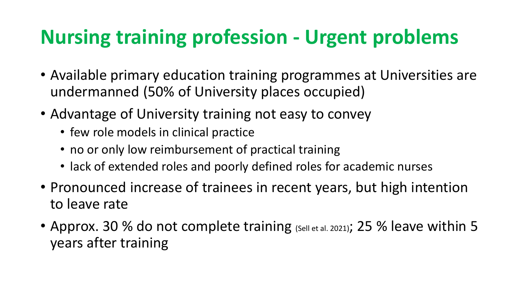## **Nursing training profession - Urgent problems**

- Available primary education training programmes at Universities are undermanned (50% of University places occupied)
- Advantage of University training not easy to convey
	- few role models in clinical practice
	- no or only low reimbursement of practical training
	- lack of extended roles and poorly defined roles for academic nurses
- Pronounced increase of trainees in recent years, but high intention to leave rate
- Approx. 30 % do not complete training (Sell et al. 2021); 25 % leave within 5 years after training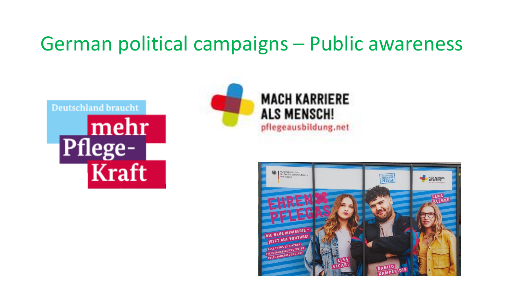### German political campaigns – Public awareness